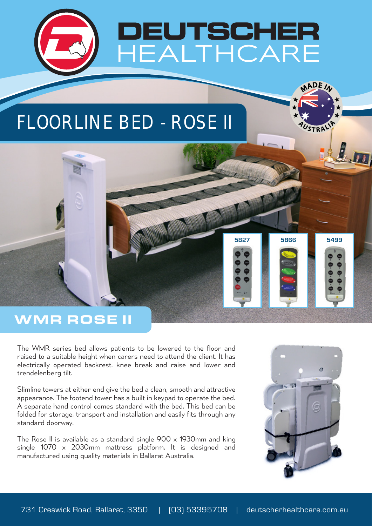

## FLOORLINE BED - ROSE II



The WMR series bed allows patients to be lowered to the floor and raised to a suitable height when carers need to attend the client. It has electrically operated backrest, knee break and raise and lower and trendelenberg tilt.

Slimline towers at either end give the bed a clean, smooth and attractive appearance. The footend tower has a built in keypad to operate the bed. A separate hand control comes standard with the bed. This bed can be folded for storage, transport and installation and easily fits through any standard doorway.

The Rose II is available as a standard single 900 x 1930mm and king single 1070 x 2030mm mattress platform. It is designed and manufactured using quality materials in Ballarat Australia.



**5827 5866 5499**

MADE<sub>IA</sub>

**STRP**